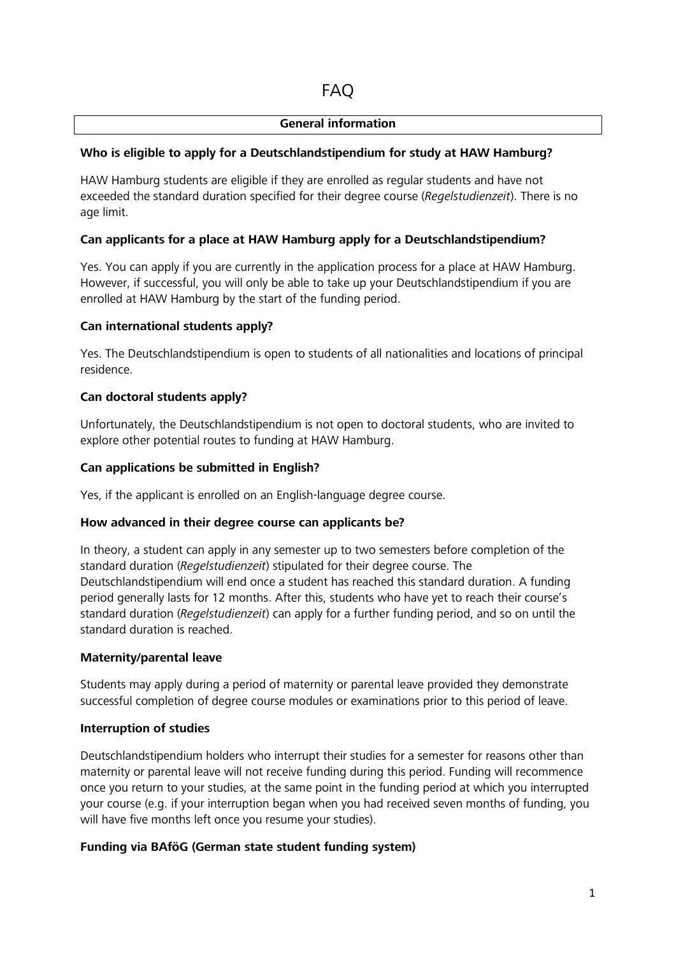#### **General information**

### **Who is eligible to apply for a Deutschlandstipendium for study at HAW Hamburg?**

HAW Hamburg students are eligible if they are enrolled as regular students and have not exceeded the standard duration specified for their degree course (*Regelstudienzeit*). There is no age limit.

### **Can applicants for a place at HAW Hamburg apply for a Deutschlandstipendium?**

Yes. You can apply if you are currently in the application process for a place at HAW Hamburg. However, if successful, you will only be able to take up your Deutschlandstipendium if you are enrolled at HAW Hamburg by the start of the funding period.

### **Can international students apply?**

Yes. The Deutschlandstipendium is open to students of all nationalities and locations of principal residence.

### **Can doctoral students apply?**

Unfortunately, the Deutschlandstipendium is not open to doctoral students, who are invited to explore other potential routes to funding at HAW Hamburg.

#### **Can applications be submitted in English?**

Yes, if the applicant is enrolled on an English-language degree course.

#### **How advanced in their degree course can applicants be?**

In theory, a student can apply in any semester up to two semesters before completion of the standard duration (*Regelstudienzeit*) stipulated for their degree course. The Deutschlandstipendium will end once a student has reached this standard duration. A funding period generally lasts for 12 months. After this, students who have yet to reach their course's standard duration (*Regelstudienzeit*) can apply for a further funding period, and so on until the standard duration is reached.

#### **Maternity/parental leave**

Students may apply during a period of maternity or parental leave provided they demonstrate successful completion of degree course modules or examinations prior to this period of leave.

#### **Interruption of studies**

Deutschlandstipendium holders who interrupt their studies for a semester for reasons other than maternity or parental leave will not receive funding during this period. Funding will recommence once you return to your studies, at the same point in the funding period at which you interrupted your course (e.g. if your interruption began when you had received seven months of funding, you will have five months left once you resume your studies).

#### **Funding via BAföG (German state student funding system)**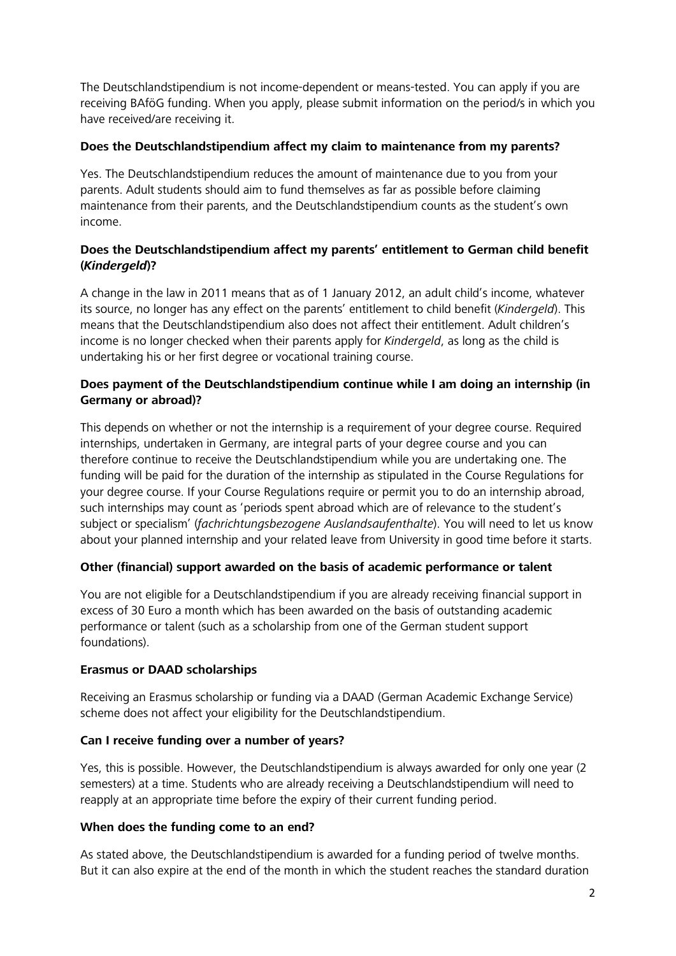The Deutschlandstipendium is not income-dependent or means-tested. You can apply if you are receiving BAföG funding. When you apply, please submit information on the period/s in which you have received/are receiving it.

### **Does the Deutschlandstipendium affect my claim to maintenance from my parents?**

Yes. The Deutschlandstipendium reduces the amount of maintenance due to you from your parents. Adult students should aim to fund themselves as far as possible before claiming maintenance from their parents, and the Deutschlandstipendium counts as the student's own income.

## **Does the Deutschlandstipendium affect my parents' entitlement to German child benefit (***Kindergeld***)?**

A change in the law in 2011 means that as of 1 January 2012, an adult child's income, whatever its source, no longer has any effect on the parents' entitlement to child benefit (*Kindergeld*). This means that the Deutschlandstipendium also does not affect their entitlement. Adult children's income is no longer checked when their parents apply for *Kindergeld*, as long as the child is undertaking his or her first degree or vocational training course.

## **Does payment of the Deutschlandstipendium continue while I am doing an internship (in Germany or abroad)?**

This depends on whether or not the internship is a requirement of your degree course. Required internships, undertaken in Germany, are integral parts of your degree course and you can therefore continue to receive the Deutschlandstipendium while you are undertaking one. The funding will be paid for the duration of the internship as stipulated in the Course Regulations for your degree course. If your Course Regulations require or permit you to do an internship abroad, such internships may count as 'periods spent abroad which are of relevance to the student's subject or specialism' (*fachrichtungsbezogene Auslandsaufenthalte*). You will need to let us know about your planned internship and your related leave from University in good time before it starts.

## **Other (financial) support awarded on the basis of academic performance or talent**

You are not eligible for a Deutschlandstipendium if you are already receiving financial support in excess of 30 Euro a month which has been awarded on the basis of outstanding academic performance or talent (such as a scholarship from one of the German student support foundations).

## **Erasmus or DAAD scholarships**

Receiving an Erasmus scholarship or funding via a DAAD (German Academic Exchange Service) scheme does not affect your eligibility for the Deutschlandstipendium.

## **Can I receive funding over a number of years?**

Yes, this is possible. However, the Deutschlandstipendium is always awarded for only one year (2 semesters) at a time. Students who are already receiving a Deutschlandstipendium will need to reapply at an appropriate time before the expiry of their current funding period.

#### **When does the funding come to an end?**

As stated above, the Deutschlandstipendium is awarded for a funding period of twelve months. But it can also expire at the end of the month in which the student reaches the standard duration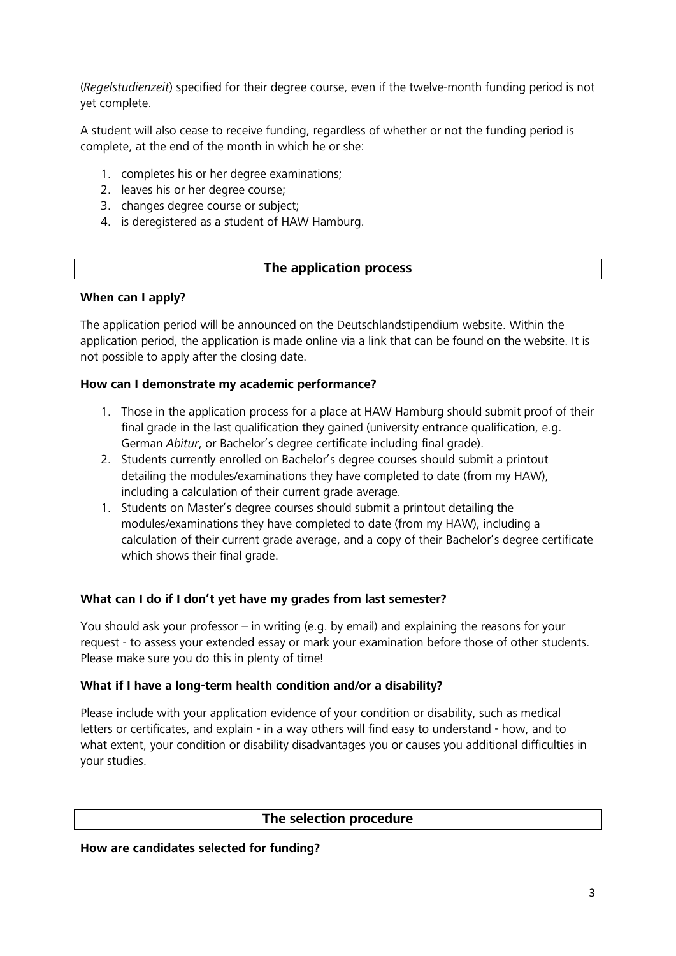(*Regelstudienzeit*) specified for their degree course, even if the twelve-month funding period is not yet complete.

A student will also cease to receive funding, regardless of whether or not the funding period is complete, at the end of the month in which he or she:

- 1. completes his or her degree examinations;
- 2. leaves his or her degree course;
- 3. changes degree course or subject;
- 4. is deregistered as a student of HAW Hamburg.

# **The application process**

#### **When can I apply?**

The application period will be announced on the Deutschlandstipendium website. Within the application period, the application is made online via a link that can be found on the website. It is not possible to apply after the closing date.

### **How can I demonstrate my academic performance?**

- 1. Those in the application process for a place at HAW Hamburg should submit proof of their final grade in the last qualification they gained (university entrance qualification, e.g. German *Abitur*, or Bachelor's degree certificate including final grade).
- 2. Students currently enrolled on Bachelor's degree courses should submit a printout detailing the modules/examinations they have completed to date (from my HAW), including a calculation of their current grade average.
- 1. Students on Master's degree courses should submit a printout detailing the modules/examinations they have completed to date (from my HAW), including a calculation of their current grade average, and a copy of their Bachelor's degree certificate which shows their final grade.

## **What can I do if I don't yet have my grades from last semester?**

You should ask your professor – in writing (e.g. by email) and explaining the reasons for your request - to assess your extended essay or mark your examination before those of other students. Please make sure you do this in plenty of time!

#### **What if I have a long-term health condition and/or a disability?**

Please include with your application evidence of your condition or disability, such as medical letters or certificates, and explain - in a way others will find easy to understand - how, and to what extent, your condition or disability disadvantages you or causes you additional difficulties in your studies.

## **The selection procedure**

#### **How are candidates selected for funding?**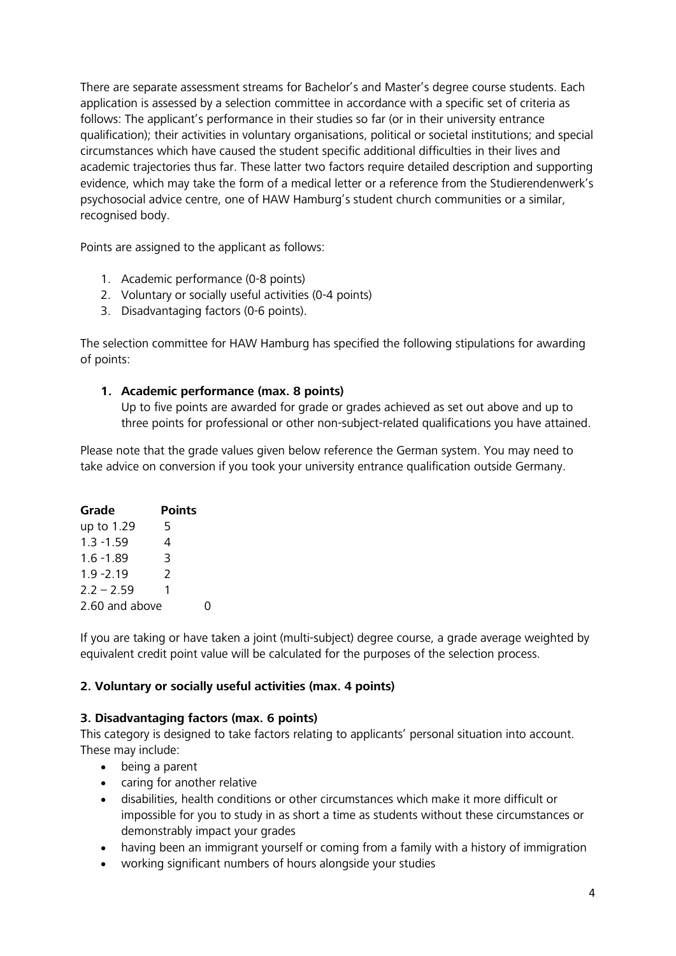There are separate assessment streams for Bachelor's and Master's degree course students. Each application is assessed by a selection committee in accordance with a specific set of criteria as follows: The applicant's performance in their studies so far (or in their university entrance qualification); their activities in voluntary organisations, political or societal institutions; and special circumstances which have caused the student specific additional difficulties in their lives and academic trajectories thus far. These latter two factors require detailed description and supporting evidence, which may take the form of a medical letter or a reference from the Studierendenwerk's psychosocial advice centre, one of HAW Hamburg's student church communities or a similar, recognised body.

Points are assigned to the applicant as follows:

- 1. Academic performance (0-8 points)
- 2. Voluntary or socially useful activities (0-4 points)
- 3. Disadvantaging factors (0-6 points).

The selection committee for HAW Hamburg has specified the following stipulations for awarding of points:

### **1. Academic performance (max. 8 points)**

Up to five points are awarded for grade or grades achieved as set out above and up to three points for professional or other non-subject-related qualifications you have attained.

Please note that the grade values given below reference the German system. You may need to take advice on conversion if you took your university entrance qualification outside Germany.

| Grade          | <b>Points</b> |
|----------------|---------------|
| up to 1.29     | 5             |
| $1.3 - 1.59$   | 4             |
| $1.6 - 1.89$   | 3             |
| $1.9 - 2.19$   | 2             |
| $2.2 - 2.59$   | 1             |
| 2.60 and above |               |

If you are taking or have taken a joint (multi-subject) degree course, a grade average weighted by equivalent credit point value will be calculated for the purposes of the selection process.

## **2. Voluntary or socially useful activities (max. 4 points)**

#### **3. Disadvantaging factors (max. 6 points)**

This category is designed to take factors relating to applicants' personal situation into account. These may include:

- being a parent
- caring for another relative
- disabilities, health conditions or other circumstances which make it more difficult or impossible for you to study in as short a time as students without these circumstances or demonstrably impact your grades
- having been an immigrant yourself or coming from a family with a history of immigration
- working significant numbers of hours alongside your studies